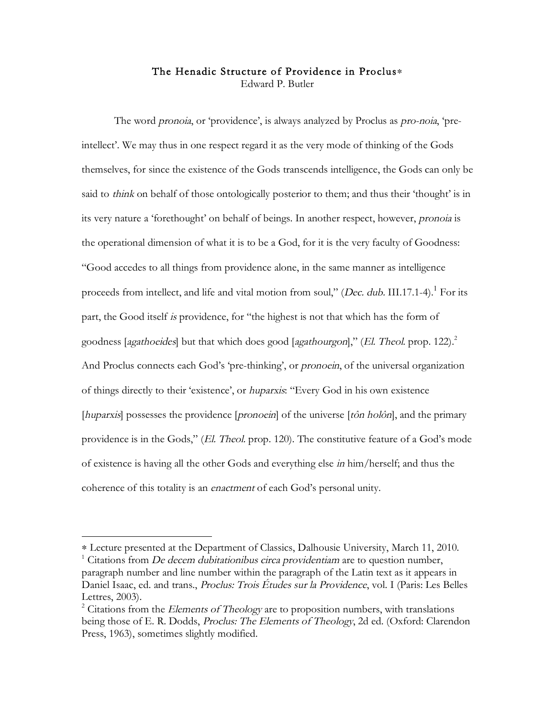## The Henadic Structure of Providence in Proclus∗ Edward P. Butler

The word *pronoia*, or 'providence', is always analyzed by Proclus as *pro-noia*, 'preintellect'. We may thus in one respect regard it as the very mode of thinking of the Gods themselves, for since the existence of the Gods transcends intelligence, the Gods can only be said to *think* on behalf of those ontologically posterior to them; and thus their 'thought' is in its very nature a 'forethought' on behalf of beings. In another respect, however, pronoia is the operational dimension of what it is to be a God, for it is the very faculty of Goodness: "Good accedes to all things from providence alone, in the same manner as intelligence proceeds from intellect, and life and vital motion from soul," (Dec. dub. III.17.1-4).<sup>1</sup> For its part, the Good itself is providence, for "the highest is not that which has the form of goodness [agathoeides] but that which does good [agathourgon]," (El. Theol. prop. 122).<sup>2</sup> And Proclus connects each God's 'pre-thinking', or *pronoein*, of the universal organization of things directly to their 'existence', or huparxis: "Every God in his own existence [huparxis] possesses the providence [pronoein] of the universe [tôn holôn], and the primary providence is in the Gods," (El. Theol. prop. 120). The constitutive feature of a God's mode of existence is having all the other Gods and everything else in him/herself; and thus the coherence of this totality is an enactment of each God's personal unity.

<sup>∗</sup> Lecture presented at the Department of Classics, Dalhousie University, March 11, 2010. <sup>1</sup>  $\frac{1}{1}$  Citations from *De decem dubitationibus circa providentiam* are to question number, paragraph number and line number within the paragraph of the Latin text as it appears in Daniel Isaac, ed. and trans., Proclus: Trois Études sur la Providence, vol. I (Paris: Les Belles Lettres, 2003).

 $2^2$  Citations from the *Elements of Theology* are to proposition numbers, with translations being those of E. R. Dodds, Proclus: The Elements of Theology, 2d ed. (Oxford: Clarendon Press, 1963), sometimes slightly modified.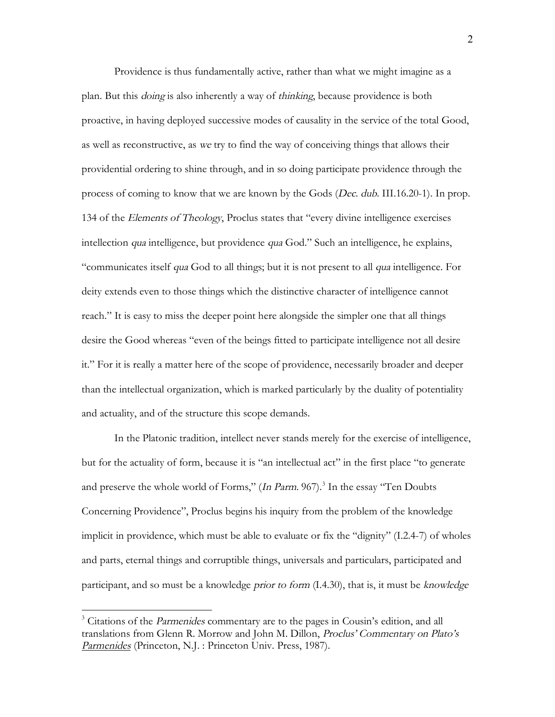Providence is thus fundamentally active, rather than what we might imagine as a plan. But this doing is also inherently a way of thinking, because providence is both proactive, in having deployed successive modes of causality in the service of the total Good, as well as reconstructive, as we try to find the way of conceiving things that allows their providential ordering to shine through, and in so doing participate providence through the process of coming to know that we are known by the Gods (Dec. dub. III.16.20-1). In prop. 134 of the Elements of Theology, Proclus states that "every divine intelligence exercises" intellection qua intelligence, but providence qua God." Such an intelligence, he explains, "communicates itself qua God to all things; but it is not present to all qua intelligence. For deity extends even to those things which the distinctive character of intelligence cannot reach." It is easy to miss the deeper point here alongside the simpler one that all things desire the Good whereas "even of the beings fitted to participate intelligence not all desire it." For it is really a matter here of the scope of providence, necessarily broader and deeper than the intellectual organization, which is marked particularly by the duality of potentiality and actuality, and of the structure this scope demands.

In the Platonic tradition, intellect never stands merely for the exercise of intelligence, but for the actuality of form, because it is "an intellectual act" in the first place "to generate and preserve the whole world of Forms," (In Parm. 967).<sup>3</sup> In the essay "Ten Doubts Concerning Providence", Proclus begins his inquiry from the problem of the knowledge implicit in providence, which must be able to evaluate or fix the "dignity" (I.2.4-7) of wholes and parts, eternal things and corruptible things, universals and particulars, participated and participant, and so must be a knowledge *prior to form* (I.4.30), that is, it must be knowledge

<sup>&</sup>lt;sup>3</sup> Citations of the *Parmenides* commentary are to the pages in Cousin's edition, and all translations from Glenn R. Morrow and John M. Dillon, Proclus' Commentary on Plato's Parmenides (Princeton, N.J. : Princeton Univ. Press, 1987).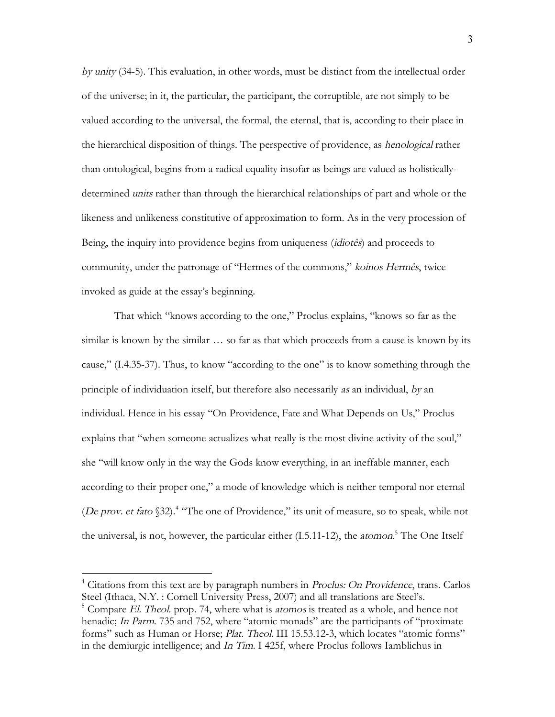by unity (34-5). This evaluation, in other words, must be distinct from the intellectual order of the universe; in it, the particular, the participant, the corruptible, are not simply to be valued according to the universal, the formal, the eternal, that is, according to their place in the hierarchical disposition of things. The perspective of providence, as henological rather than ontological, begins from a radical equality insofar as beings are valued as holisticallydetermined units rather than through the hierarchical relationships of part and whole or the likeness and unlikeness constitutive of approximation to form. As in the very procession of Being, the inquiry into providence begins from uniqueness (idiotês) and proceeds to community, under the patronage of "Hermes of the commons," koinos Hermês, twice invoked as guide at the essay's beginning.

That which "knows according to the one," Proclus explains, "knows so far as the similar is known by the similar … so far as that which proceeds from a cause is known by its cause," (I.4.35-37). Thus, to know "according to the one" is to know something through the principle of individuation itself, but therefore also necessarily as an individual, by an individual. Hence in his essay "On Providence, Fate and What Depends on Us," Proclus explains that "when someone actualizes what really is the most divine activity of the soul," she "will know only in the way the Gods know everything, in an ineffable manner, each according to their proper one," a mode of knowledge which is neither temporal nor eternal (De prov. et fato §32).<sup>4</sup> "The one of Providence," its unit of measure, so to speak, while not the universal, is not, however, the particular either (I.5.11-12), the *atomon*.<sup>5</sup> The One Itself

<sup>&</sup>lt;sup>4</sup> Citations from this text are by paragraph numbers in *Proclus: On Providence*, trans. Carlos Steel (Ithaca, N.Y. : Cornell University Press, 2007) and all translations are Steel's.  $5$  Compare El. Theol. prop. 74, where what is atomos is treated as a whole, and hence not henadic; In Parm. 735 and 752, where "atomic monads" are the participants of "proximate forms" such as Human or Horse; Plat. Theol. III 15.53.12-3, which locates "atomic forms" in the demiurgic intelligence; and In Tim. I 425f, where Proclus follows Iamblichus in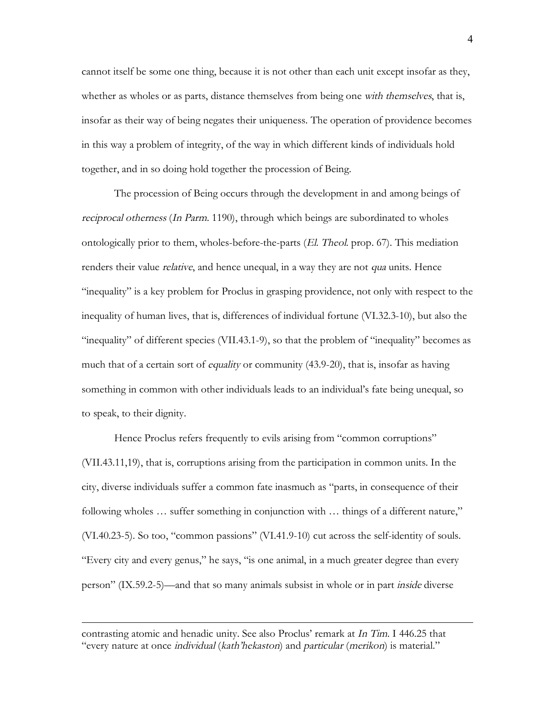cannot itself be some one thing, because it is not other than each unit except insofar as they, whether as wholes or as parts, distance themselves from being one with themselves, that is, insofar as their way of being negates their uniqueness. The operation of providence becomes in this way a problem of integrity, of the way in which different kinds of individuals hold together, and in so doing hold together the procession of Being.

The procession of Being occurs through the development in and among beings of reciprocal otherness (In Parm. 1190), through which beings are subordinated to wholes ontologically prior to them, wholes-before-the-parts (El. Theol. prop. 67). This mediation renders their value *relative*, and hence unequal, in a way they are not *qua* units. Hence "inequality" is a key problem for Proclus in grasping providence, not only with respect to the inequality of human lives, that is, differences of individual fortune (VI.32.3-10), but also the "inequality" of different species (VII.43.1-9), so that the problem of "inequality" becomes as much that of a certain sort of *equality* or community (43.9-20), that is, insofar as having something in common with other individuals leads to an individual's fate being unequal, so to speak, to their dignity.

Hence Proclus refers frequently to evils arising from "common corruptions" (VII.43.11,19), that is, corruptions arising from the participation in common units. In the city, diverse individuals suffer a common fate inasmuch as "parts, in consequence of their following wholes … suffer something in conjunction with … things of a different nature," (VI.40.23-5). So too, "common passions" (VI.41.9-10) cut across the self-identity of souls. "Every city and every genus," he says, "is one animal, in a much greater degree than every person" (IX.59.2-5)—and that so many animals subsist in whole or in part inside diverse

contrasting atomic and henadic unity. See also Proclus' remark at In Tim. I 446.25 that "every nature at once individual (kath'hekaston) and particular (merikon) is material."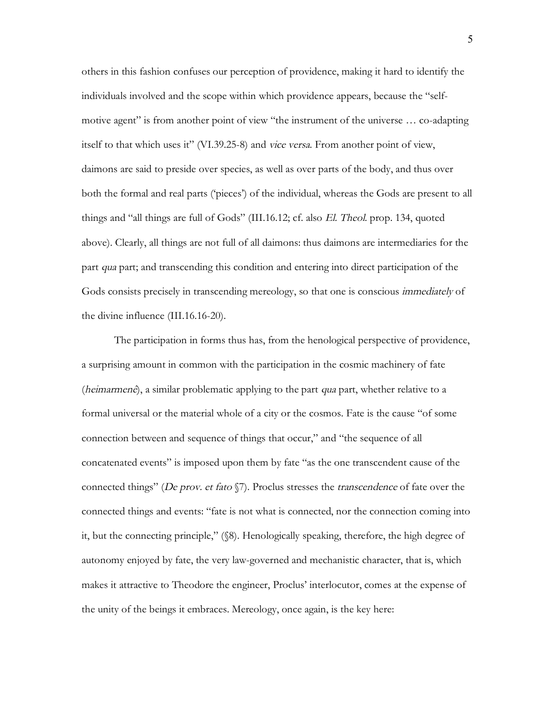others in this fashion confuses our perception of providence, making it hard to identify the individuals involved and the scope within which providence appears, because the "selfmotive agent" is from another point of view "the instrument of the universe … co-adapting itself to that which uses it" (VI.39.25-8) and vice versa. From another point of view, daimons are said to preside over species, as well as over parts of the body, and thus over both the formal and real parts ('pieces') of the individual, whereas the Gods are present to all things and "all things are full of Gods" (III.16.12; cf. also El. Theol. prop. 134, quoted above). Clearly, all things are not full of all daimons: thus daimons are intermediaries for the part qua part; and transcending this condition and entering into direct participation of the Gods consists precisely in transcending mereology, so that one is conscious *immediately* of the divine influence (III.16.16-20).

The participation in forms thus has, from the henological perspective of providence, a surprising amount in common with the participation in the cosmic machinery of fate (heimarmenê), a similar problematic applying to the part qua part, whether relative to a formal universal or the material whole of a city or the cosmos. Fate is the cause "of some connection between and sequence of things that occur," and "the sequence of all concatenated events" is imposed upon them by fate "as the one transcendent cause of the connected things" (De prov. et fato  $\S$ ). Proclus stresses the *transcendence* of fate over the connected things and events: "fate is not what is connected, nor the connection coming into it, but the connecting principle," (§8). Henologically speaking, therefore, the high degree of autonomy enjoyed by fate, the very law-governed and mechanistic character, that is, which makes it attractive to Theodore the engineer, Proclus' interlocutor, comes at the expense of the unity of the beings it embraces. Mereology, once again, is the key here: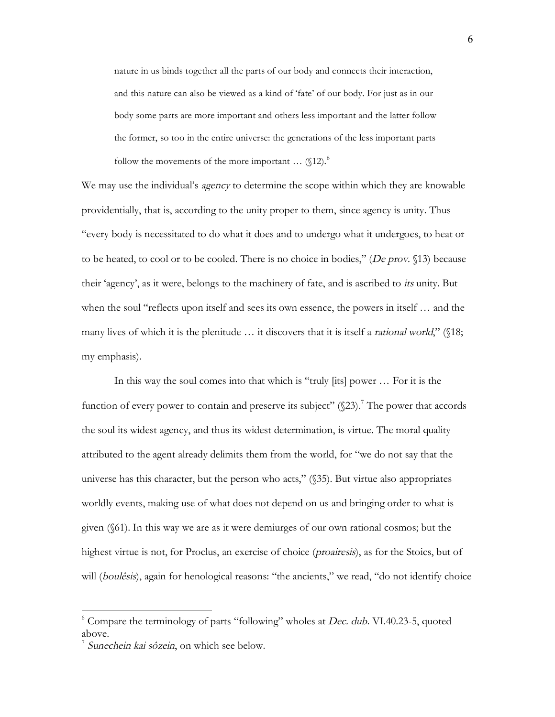nature in us binds together all the parts of our body and connects their interaction, and this nature can also be viewed as a kind of 'fate' of our body. For just as in our body some parts are more important and others less important and the latter follow the former, so too in the entire universe: the generations of the less important parts follow the movements of the more important  $\ldots$  (§12).<sup>6</sup>

We may use the individual's *agency* to determine the scope within which they are knowable providentially, that is, according to the unity proper to them, since agency is unity. Thus "every body is necessitated to do what it does and to undergo what it undergoes, to heat or to be heated, to cool or to be cooled. There is no choice in bodies," (De prov. §13) because their 'agency', as it were, belongs to the machinery of fate, and is ascribed to its unity. But when the soul "reflects upon itself and sees its own essence, the powers in itself … and the many lives of which it is the plenitude  $\ldots$  it discovers that it is itself a *rational world*," (\$18; my emphasis).

In this way the soul comes into that which is "truly [its] power … For it is the function of every power to contain and preserve its subject"  $(\S 23)$ .<sup>7</sup> The power that accords the soul its widest agency, and thus its widest determination, is virtue. The moral quality attributed to the agent already delimits them from the world, for "we do not say that the universe has this character, but the person who acts," (§35). But virtue also appropriates worldly events, making use of what does not depend on us and bringing order to what is given (§61). In this way we are as it were demiurges of our own rational cosmos; but the highest virtue is not, for Proclus, an exercise of choice (*proairesis*), as for the Stoics, but of will (*boulêsis*), again for henological reasons: "the ancients," we read, "do not identify choice

 $6$  Compare the terminology of parts "following" wholes at *Dec. dub.* VI.40.23-5, quoted above.

<sup>&</sup>lt;sup>7</sup> Sunechein kai sôzein, on which see below.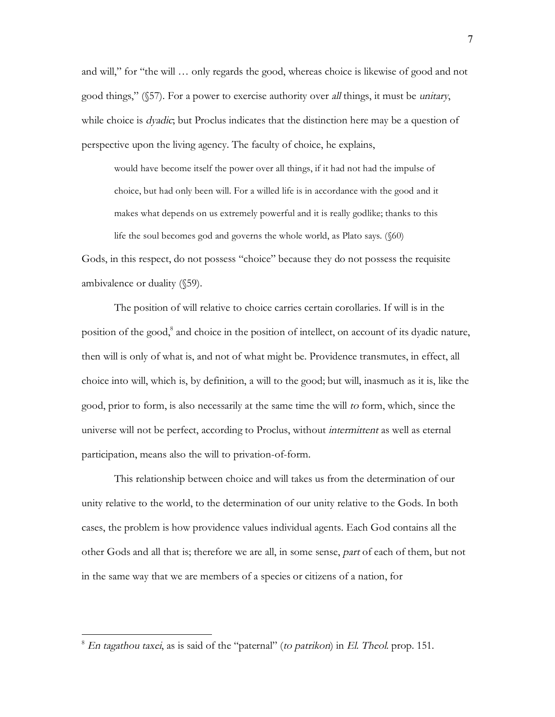and will," for "the will … only regards the good, whereas choice is likewise of good and not good things," (§57). For a power to exercise authority over all things, it must be unitary, while choice is *dyadic*; but Proclus indicates that the distinction here may be a question of perspective upon the living agency. The faculty of choice, he explains,

would have become itself the power over all things, if it had not had the impulse of choice, but had only been will. For a willed life is in accordance with the good and it makes what depends on us extremely powerful and it is really godlike; thanks to this life the soul becomes god and governs the whole world, as Plato says. (§60)

Gods, in this respect, do not possess "choice" because they do not possess the requisite ambivalence or duality (§59).

The position of will relative to choice carries certain corollaries. If will is in the position of the good,<sup>8</sup> and choice in the position of intellect, on account of its dyadic nature, then will is only of what is, and not of what might be. Providence transmutes, in effect, all choice into will, which is, by definition, a will to the good; but will, inasmuch as it is, like the good, prior to form, is also necessarily at the same time the will to form, which, since the universe will not be perfect, according to Proclus, without *intermittent* as well as eternal participation, means also the will to privation-of-form.

This relationship between choice and will takes us from the determination of our unity relative to the world, to the determination of our unity relative to the Gods. In both cases, the problem is how providence values individual agents. Each God contains all the other Gods and all that is; therefore we are all, in some sense, part of each of them, but not in the same way that we are members of a species or citizens of a nation, for

 $8$  En tagathou taxei, as is said of the "paternal" (to patrikon) in El. Theol. prop. 151.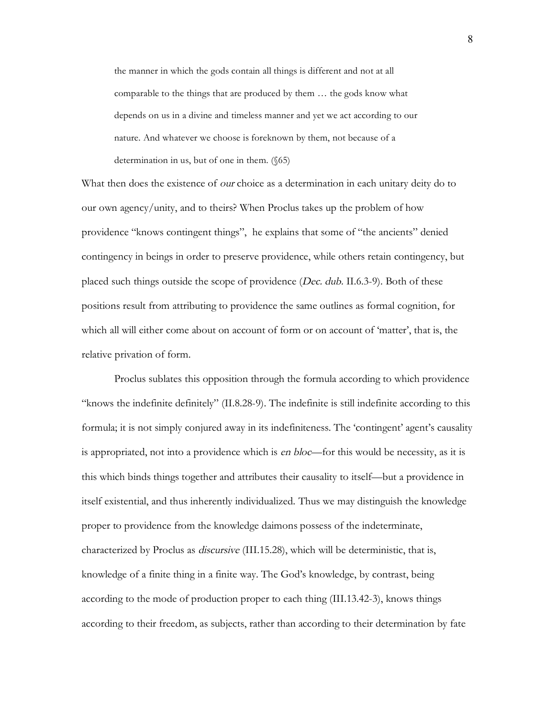the manner in which the gods contain all things is different and not at all comparable to the things that are produced by them … the gods know what depends on us in a divine and timeless manner and yet we act according to our nature. And whatever we choose is foreknown by them, not because of a determination in us, but of one in them. (§65)

What then does the existence of *our* choice as a determination in each unitary deity do to our own agency/unity, and to theirs? When Proclus takes up the problem of how providence "knows contingent things", he explains that some of "the ancients" denied contingency in beings in order to preserve providence, while others retain contingency, but placed such things outside the scope of providence (Dec. dub. II.6.3-9). Both of these positions result from attributing to providence the same outlines as formal cognition, for which all will either come about on account of form or on account of 'matter', that is, the relative privation of form.

Proclus sublates this opposition through the formula according to which providence "knows the indefinite definitely" (II.8.28-9). The indefinite is still indefinite according to this formula; it is not simply conjured away in its indefiniteness. The 'contingent' agent's causality is appropriated, not into a providence which is *en bloc*—for this would be necessity, as it is this which binds things together and attributes their causality to itself—but a providence in itself existential, and thus inherently individualized. Thus we may distinguish the knowledge proper to providence from the knowledge daimons possess of the indeterminate, characterized by Proclus as discursive (III.15.28), which will be deterministic, that is, knowledge of a finite thing in a finite way. The God's knowledge, by contrast, being according to the mode of production proper to each thing (III.13.42-3), knows things according to their freedom, as subjects, rather than according to their determination by fate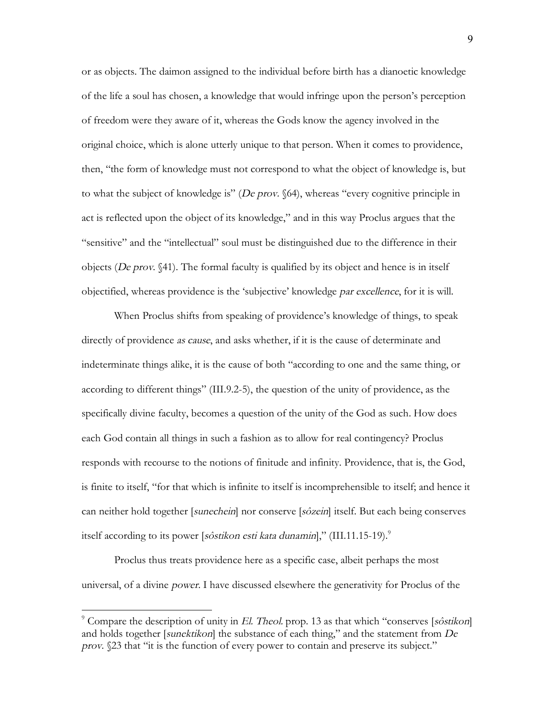or as objects. The daimon assigned to the individual before birth has a dianoetic knowledge of the life a soul has chosen, a knowledge that would infringe upon the person's perception of freedom were they aware of it, whereas the Gods know the agency involved in the original choice, which is alone utterly unique to that person. When it comes to providence, then, "the form of knowledge must not correspond to what the object of knowledge is, but to what the subject of knowledge is" (De prov. §64), whereas "every cognitive principle in act is reflected upon the object of its knowledge," and in this way Proclus argues that the "sensitive" and the "intellectual" soul must be distinguished due to the difference in their objects (De prov.  $$41$ ). The formal faculty is qualified by its object and hence is in itself objectified, whereas providence is the 'subjective' knowledge par excellence, for it is will.

When Proclus shifts from speaking of providence's knowledge of things, to speak directly of providence *as cause*, and asks whether, if it is the cause of determinate and indeterminate things alike, it is the cause of both "according to one and the same thing, or according to different things" (III.9.2-5), the question of the unity of providence, as the specifically divine faculty, becomes a question of the unity of the God as such. How does each God contain all things in such a fashion as to allow for real contingency? Proclus responds with recourse to the notions of finitude and infinity. Providence, that is, the God, is finite to itself, "for that which is infinite to itself is incomprehensible to itself; and hence it can neither hold together [sunechein] nor conserve [sôzein] itself. But each being conserves itself according to its power [sôstikon esti kata dunamin]," (III.11.15-19).<sup>9</sup>

Proclus thus treats providence here as a specific case, albeit perhaps the most universal, of a divine power. I have discussed elsewhere the generativity for Proclus of the

<sup>&</sup>lt;sup>9</sup> Compare the description of unity in El. Theol. prop. 13 as that which "conserves [sôstikon] and holds together [sunektikon] the substance of each thing," and the statement from  $De$ prov. §23 that "it is the function of every power to contain and preserve its subject."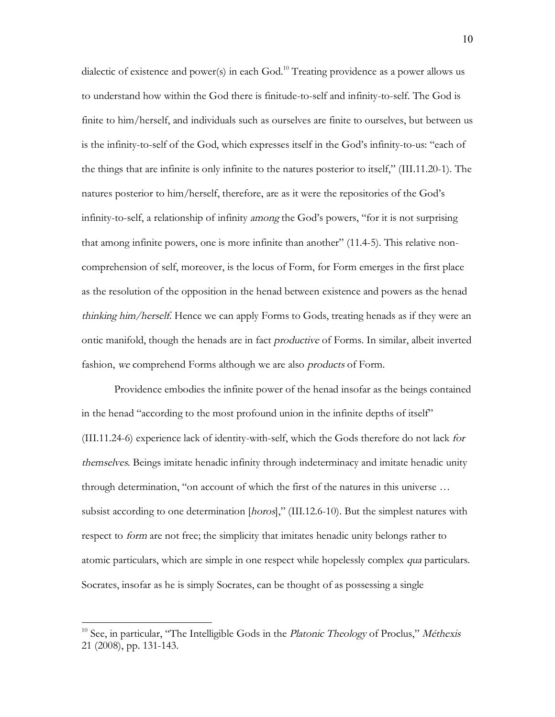dialectic of existence and power(s) in each God.<sup>10</sup> Treating providence as a power allows us to understand how within the God there is finitude-to-self and infinity-to-self. The God is finite to him/herself, and individuals such as ourselves are finite to ourselves, but between us is the infinity-to-self of the God, which expresses itself in the God's infinity-to-us: "each of the things that are infinite is only infinite to the natures posterior to itself," (III.11.20-1). The natures posterior to him/herself, therefore, are as it were the repositories of the God's infinity-to-self, a relationship of infinity among the God's powers, "for it is not surprising that among infinite powers, one is more infinite than another" (11.4-5). This relative noncomprehension of self, moreover, is the locus of Form, for Form emerges in the first place as the resolution of the opposition in the henad between existence and powers as the henad thinking him/herself. Hence we can apply Forms to Gods, treating henads as if they were an ontic manifold, though the henads are in fact productive of Forms. In similar, albeit inverted fashion, we comprehend Forms although we are also products of Form.

Providence embodies the infinite power of the henad insofar as the beings contained in the henad "according to the most profound union in the infinite depths of itself" (III.11.24-6) experience lack of identity-with-self, which the Gods therefore do not lack for themselves. Beings imitate henadic infinity through indeterminacy and imitate henadic unity through determination, "on account of which the first of the natures in this universe … subsist according to one determination [horos]," (III.12.6-10). But the simplest natures with respect to *form* are not free; the simplicity that imitates henadic unity belongs rather to atomic particulars, which are simple in one respect while hopelessly complex *qua* particulars. Socrates, insofar as he is simply Socrates, can be thought of as possessing a single

 $10$  See, in particular, "The Intelligible Gods in the Platonic Theology of Proclus," Méthexis 21 (2008), pp. 131-143.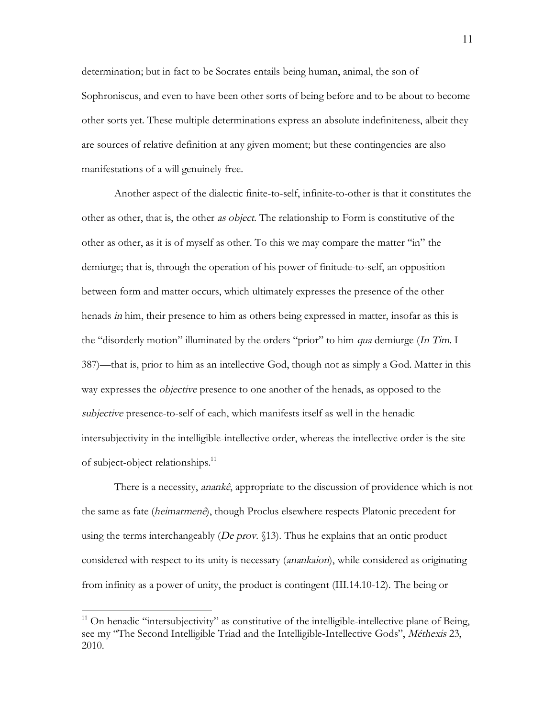determination; but in fact to be Socrates entails being human, animal, the son of Sophroniscus, and even to have been other sorts of being before and to be about to become other sorts yet. These multiple determinations express an absolute indefiniteness, albeit they are sources of relative definition at any given moment; but these contingencies are also manifestations of a will genuinely free.

Another aspect of the dialectic finite-to-self, infinite-to-other is that it constitutes the other as other, that is, the other as object. The relationship to Form is constitutive of the other as other, as it is of myself as other. To this we may compare the matter "in" the demiurge; that is, through the operation of his power of finitude-to-self, an opposition between form and matter occurs, which ultimately expresses the presence of the other henads *in* him, their presence to him as others being expressed in matter, insofar as this is the "disorderly motion" illuminated by the orders "prior" to him qua demiurge (In Tim. I 387)—that is, prior to him as an intellective God, though not as simply a God. Matter in this way expresses the *objective* presence to one another of the henads, as opposed to the subjective presence-to-self of each, which manifests itself as well in the henadic intersubjectivity in the intelligible-intellective order, whereas the intellective order is the site of subject-object relationships.<sup>11</sup>

There is a necessity, *anankê*, appropriate to the discussion of providence which is not the same as fate (heimarmenê), though Proclus elsewhere respects Platonic precedent for using the terms interchangeably (*De prov.*  $$13)$ ). Thus he explains that an ontic product considered with respect to its unity is necessary (anankaion), while considered as originating from infinity as a power of unity, the product is contingent (III.14.10-12). The being or

 $11$  On henadic "intersubjectivity" as constitutive of the intelligible-intellective plane of Being, see my "The Second Intelligible Triad and the Intelligible-Intellective Gods", Méthexis 23, 2010.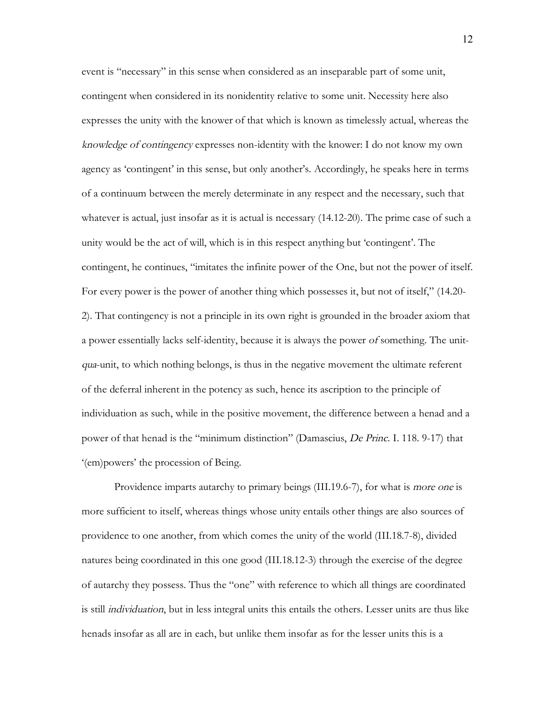event is "necessary" in this sense when considered as an inseparable part of some unit, contingent when considered in its nonidentity relative to some unit. Necessity here also expresses the unity with the knower of that which is known as timelessly actual, whereas the knowledge of contingency expresses non-identity with the knower: I do not know my own agency as 'contingent' in this sense, but only another's. Accordingly, he speaks here in terms of a continuum between the merely determinate in any respect and the necessary, such that whatever is actual, just insofar as it is actual is necessary (14.12-20). The prime case of such a unity would be the act of will, which is in this respect anything but 'contingent'. The contingent, he continues, "imitates the infinite power of the One, but not the power of itself. For every power is the power of another thing which possesses it, but not of itself," (14.20- 2). That contingency is not a principle in its own right is grounded in the broader axiom that a power essentially lacks self-identity, because it is always the power of something. The unitqua-unit, to which nothing belongs, is thus in the negative movement the ultimate referent of the deferral inherent in the potency as such, hence its ascription to the principle of individuation as such, while in the positive movement, the difference between a henad and a power of that henad is the "minimum distinction" (Damascius, De Princ. I. 118. 9-17) that '(em)powers' the procession of Being.

Providence imparts autarchy to primary beings (III.19.6-7), for what is more one is more sufficient to itself, whereas things whose unity entails other things are also sources of providence to one another, from which comes the unity of the world (III.18.7-8), divided natures being coordinated in this one good (III.18.12-3) through the exercise of the degree of autarchy they possess. Thus the "one" with reference to which all things are coordinated is still individuation, but in less integral units this entails the others. Lesser units are thus like henads insofar as all are in each, but unlike them insofar as for the lesser units this is a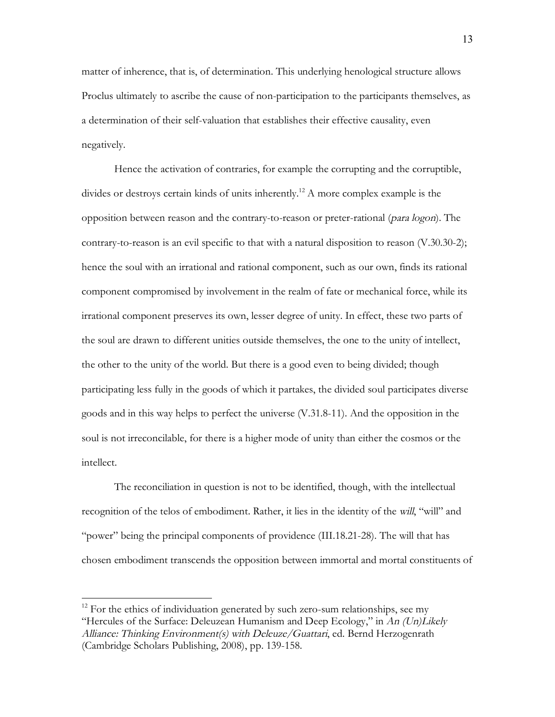matter of inherence, that is, of determination. This underlying henological structure allows Proclus ultimately to ascribe the cause of non-participation to the participants themselves, as a determination of their self-valuation that establishes their effective causality, even negatively.

Hence the activation of contraries, for example the corrupting and the corruptible, divides or destroys certain kinds of units inherently.<sup>12</sup> A more complex example is the opposition between reason and the contrary-to-reason or preter-rational (para logon). The contrary-to-reason is an evil specific to that with a natural disposition to reason (V.30.30-2); hence the soul with an irrational and rational component, such as our own, finds its rational component compromised by involvement in the realm of fate or mechanical force, while its irrational component preserves its own, lesser degree of unity. In effect, these two parts of the soul are drawn to different unities outside themselves, the one to the unity of intellect, the other to the unity of the world. But there is a good even to being divided; though participating less fully in the goods of which it partakes, the divided soul participates diverse goods and in this way helps to perfect the universe (V.31.8-11). And the opposition in the soul is not irreconcilable, for there is a higher mode of unity than either the cosmos or the intellect.

The reconciliation in question is not to be identified, though, with the intellectual recognition of the telos of embodiment. Rather, it lies in the identity of the will, "will" and "power" being the principal components of providence (III.18.21-28). The will that has chosen embodiment transcends the opposition between immortal and mortal constituents of

 $12$  For the ethics of individuation generated by such zero-sum relationships, see my "Hercules of the Surface: Deleuzean Humanism and Deep Ecology," in An (Un)Likely Alliance: Thinking Environment(s) with Deleuze/Guattari, ed. Bernd Herzogenrath (Cambridge Scholars Publishing, 2008), pp. 139-158.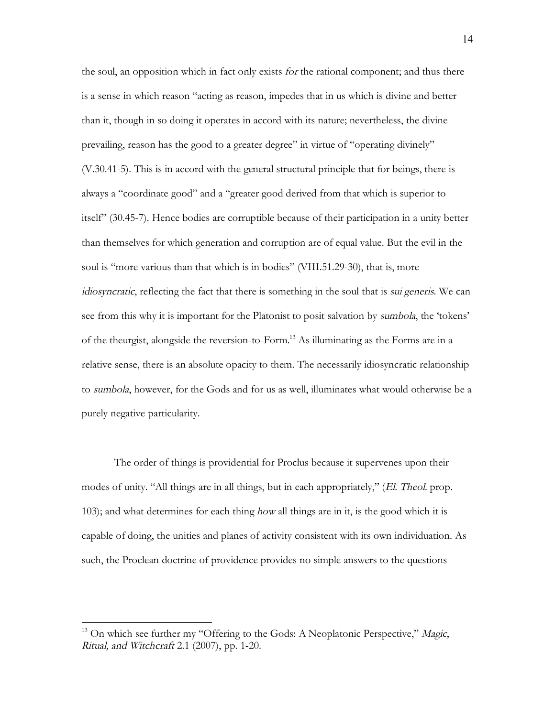the soul, an opposition which in fact only exists for the rational component; and thus there is a sense in which reason "acting as reason, impedes that in us which is divine and better than it, though in so doing it operates in accord with its nature; nevertheless, the divine prevailing, reason has the good to a greater degree" in virtue of "operating divinely" (V.30.41-5). This is in accord with the general structural principle that for beings, there is always a "coordinate good" and a "greater good derived from that which is superior to itself" (30.45-7). Hence bodies are corruptible because of their participation in a unity better than themselves for which generation and corruption are of equal value. But the evil in the soul is "more various than that which is in bodies" (VIII.51.29-30), that is, more idiosyncratic, reflecting the fact that there is something in the soul that is sui generis. We can see from this why it is important for the Platonist to posit salvation by sumbola, the 'tokens' of the theurgist, alongside the reversion-to-Form.13 As illuminating as the Forms are in a relative sense, there is an absolute opacity to them. The necessarily idiosyncratic relationship to sumbola, however, for the Gods and for us as well, illuminates what would otherwise be a purely negative particularity.

The order of things is providential for Proclus because it supervenes upon their modes of unity. "All things are in all things, but in each appropriately," (El. Theol. prop. 103); and what determines for each thing how all things are in it, is the good which it is capable of doing, the unities and planes of activity consistent with its own individuation. As such, the Proclean doctrine of providence provides no simple answers to the questions

 $13$  On which see further my "Offering to the Gods: A Neoplatonic Perspective," Magic, Ritual, and Witchcraft 2.1 (2007), pp. 1-20.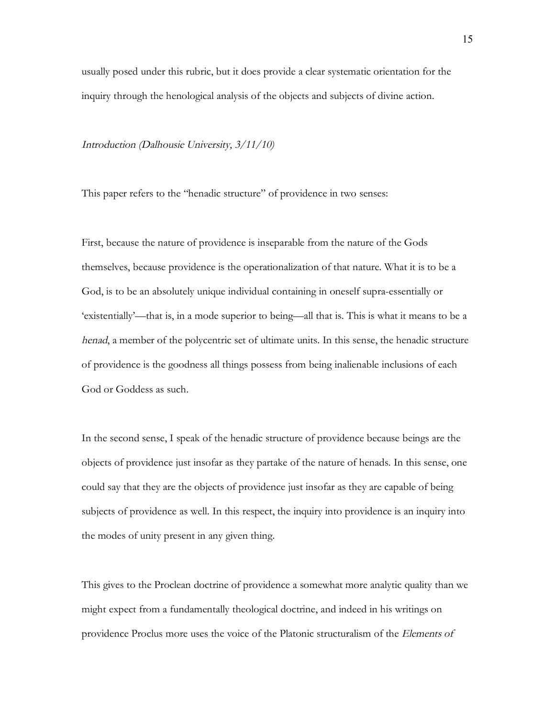usually posed under this rubric, but it does provide a clear systematic orientation for the inquiry through the henological analysis of the objects and subjects of divine action.

Introduction (Dalhousie University, 3/11/10)

This paper refers to the "henadic structure" of providence in two senses:

First, because the nature of providence is inseparable from the nature of the Gods themselves, because providence is the operationalization of that nature. What it is to be a God, is to be an absolutely unique individual containing in oneself supra-essentially or 'existentially'—that is, in a mode superior to being—all that is. This is what it means to be a henad, a member of the polycentric set of ultimate units. In this sense, the henadic structure of providence is the goodness all things possess from being inalienable inclusions of each God or Goddess as such.

In the second sense, I speak of the henadic structure of providence because beings are the objects of providence just insofar as they partake of the nature of henads. In this sense, one could say that they are the objects of providence just insofar as they are capable of being subjects of providence as well. In this respect, the inquiry into providence is an inquiry into the modes of unity present in any given thing.

This gives to the Proclean doctrine of providence a somewhat more analytic quality than we might expect from a fundamentally theological doctrine, and indeed in his writings on providence Proclus more uses the voice of the Platonic structuralism of the Elements of